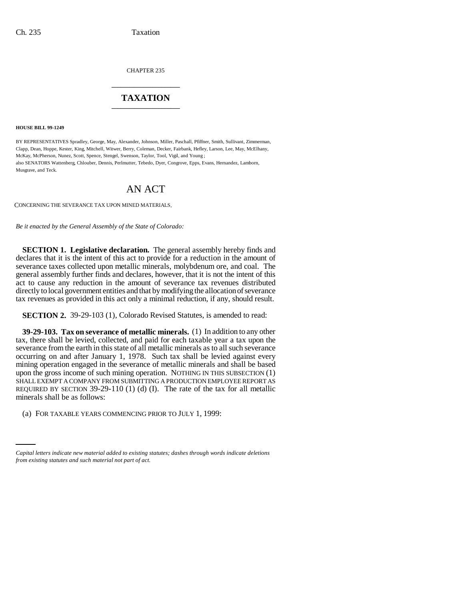CHAPTER 235 \_\_\_\_\_\_\_\_\_\_\_\_\_\_\_

## **TAXATION** \_\_\_\_\_\_\_\_\_\_\_\_\_\_\_

**HOUSE BILL 99-1249** 

BY REPRESENTATIVES Spradley, George, May, Alexander, Johnson, Miller, Paschall, Pfiffner, Smith, Sullivant, Zimmerman, Clapp, Dean, Hoppe, Kester, King, Mitchell, Witwer, Berry, Coleman, Decker, Fairbank, Hefley, Larson, Lee, May, McElhany, McKay, McPherson, Nunez, Scott, Spence, Stengel, Swenson, Taylor, Tool, Vigil, and Young ; also SENATORS Wattenberg, Chlouber, Dennis, Perlmutter, Tebedo, Dyer, Congrove, Epps, Evans, Hernandez, Lamborn, Musgrave, and Teck.

## AN ACT

CONCERNING THE SEVERANCE TAX UPON MINED MATERIALS.

*Be it enacted by the General Assembly of the State of Colorado:*

**SECTION 1. Legislative declaration.** The general assembly hereby finds and declares that it is the intent of this act to provide for a reduction in the amount of severance taxes collected upon metallic minerals, molybdenum ore, and coal. The general assembly further finds and declares, however, that it is not the intent of this act to cause any reduction in the amount of severance tax revenues distributed directly to local government entities and that by modifying the allocation of severance tax revenues as provided in this act only a minimal reduction, if any, should result.

**SECTION 2.** 39-29-103 (1), Colorado Revised Statutes, is amended to read:

**39-29-103. Tax on severance of metallic minerals.** (1) In addition to any other tax, there shall be levied, collected, and paid for each taxable year a tax upon the severance from the earth in this state of all metallic minerals as to all such severance occurring on and after January 1, 1978. Such tax shall be levied against every mining operation engaged in the severance of metallic minerals and shall be based upon the gross income of such mining operation. NOTHING IN THIS SUBSECTION (1) SHALL EXEMPT A COMPANY FROM SUBMITTING A PRODUCTION EMPLOYEE REPORT AS REQUIRED BY SECTION 39-29-110 (1) (d) (I). The rate of the tax for all metallic minerals shall be as follows:

(a) FOR TAXABLE YEARS COMMENCING PRIOR TO JULY 1, 1999:

*Capital letters indicate new material added to existing statutes; dashes through words indicate deletions from existing statutes and such material not part of act.*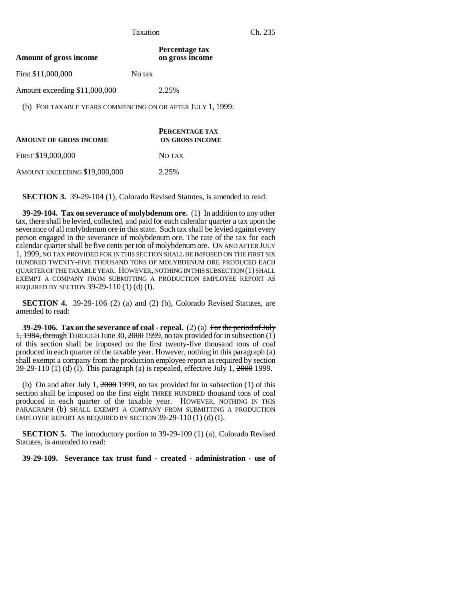| Percentage tax<br>on gross income                          |
|------------------------------------------------------------|
| No tax                                                     |
| 2.25%                                                      |
| (b) FOR TAXABLE YEARS COMMENCING ON OR AFTER JULY 1, 1999: |
| <b>PERCENTAGE TAX</b><br>ON GROSS INCOME                   |
| NO TAX                                                     |
|                                                            |

AMOUNT EXCEEDING \$19,000,000 2.25%

**SECTION 3.** 39-29-104 (1), Colorado Revised Statutes, is amended to read:

**39-29-104. Tax on severance of molybdenum ore.** (1) In addition to any other tax, there shall be levied, collected, and paid for each calendar quarter a tax upon the severance of all molybdenum ore in this state. Such tax shall be levied against every person engaged in the severance of molybdenum ore. The rate of the tax for each calendar quarter shall be five cents per ton of molybdenum ore. ON AND AFTER JULY 1, 1999, NO TAX PROVIDED FOR IN THIS SECTION SHALL BE IMPOSED ON THE FIRST SIX HUNDRED TWENTY-FIVE THOUSAND TONS OF MOLYBDENUM ORE PRODUCED EACH QUARTER OF THE TAXABLE YEAR. HOWEVER, NOTHING IN THIS SUBSECTION (1) SHALL EXEMPT A COMPANY FROM SUBMITTING A PRODUCTION EMPLOYEE REPORT AS REQUIRED BY SECTION 39-29-110 (1) (d) (I).

**SECTION 4.** 39-29-106 (2) (a) and (2) (b), Colorado Revised Statutes, are amended to read:

**39-29-106. Tax on the severance of coal - repeal.** (2) (a) For the period of July  $1,1984$ , through THROUGH June 30,  $2000$  1999, no tax provided for in subsection (1) of this section shall be imposed on the first twenty-five thousand tons of coal produced in each quarter of the taxable year. However, nothing in this paragraph (a) shall exempt a company from the production employee report as required by section  $39-29-110(1)$  (d) (I). This paragraph (a) is repealed, effective July 1,  $2000$  1999.

(b) On and after July 1,  $2000$  1999, no tax provided for in subsection (1) of this section shall be imposed on the first eight THREE HUNDRED thousand tons of coal produced in each quarter of the taxable year. HOWEVER, NOTHING IN THIS PARAGRAPH (b) SHALL EXEMPT A COMPANY FROM SUBMITTING A PRODUCTION EMPLOYEE REPORT AS REQUIRED BY SECTION 39-29-110 (1) (d) (I).

**SECTION 5.** The introductory portion to 39-29-109 (1) (a), Colorado Revised Statutes, is amended to read:

**39-29-109. Severance tax trust fund - created - administration - use of**